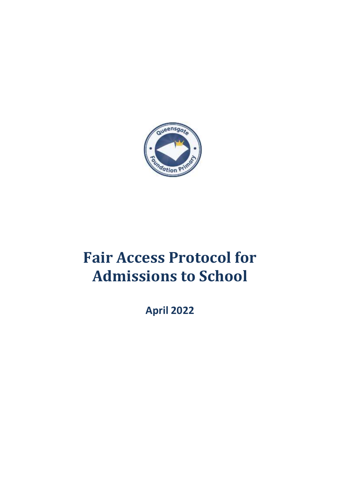

# **Fair Access Protocol for Admissions to School**

**April 2022**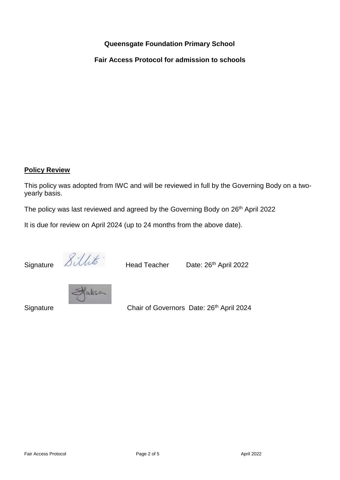# **Queensgate Foundation Primary School**

**Fair Access Protocol for admission to schools**

# **Policy Review**

This policy was adopted from IWC and will be reviewed in full by the Governing Body on a twoyearly basis.

The policy was last reviewed and agreed by the Governing Body on 26<sup>th</sup> April 2022

It is due for review on April 2024 (up to 24 months from the above date).

Signature  $\Omega$ UUU<sup>O</sup> Head Teacher Date: 26<sup>th</sup> April 2022



Signature **Chair of Governors Date: 26<sup>th</sup> April 2024**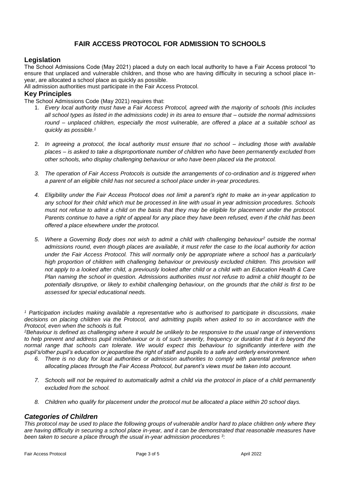# **FAIR ACCESS PROTOCOL FOR ADMISSION TO SCHOOLS**

# **Legislation**

The School Admissions Code (May 2021) placed a duty on each local authority to have a Fair Access protocol "to ensure that unplaced and vulnerable children, and those who are having difficulty in securing a school place inyear, are allocated a school place as quickly as possible.

All admission authorities must participate in the Fair Access Protocol.

## **Key Principles**

The School Admissions Code (May 2021) requires that:

- 1. *Every local authority must have a Fair Access Protocol, agreed with the majority of schools (this includes all school types as listed in the admissions code) in its area to ensure that – outside the normal admissions round – unplaced children, especially the most vulnerable, are offered a place at a suitable school as quickly as possible.<sup>1</sup>*
- 2. *In agreeing a protocol, the local authority must ensure that no school – including those with available places – is asked to take a disproportionate number of children who have been permanently excluded from other schools, who display challenging behaviour or who have been placed via the protocol.*
- *3. The operation of Fair Access Protocols is outside the arrangements of co-ordination and is triggered when a parent of an eligible child has not secured a school place under in-year procedures.*
- *4. Eligibility under the Fair Access Protocol does not limit a parent's right to make an in-year application to any school for their child which mut be processed in line with usual in year admission procedures. Schools must not refuse to admit a child on the basis that they may be eligible for placement under the protocol. Parents continue to have a right of appeal for any place they have been refused, even if the child has been offered a place elsewhere under the protocol.*
- *5. Where a Governing Body does not wish to admit a child with challenging behaviour<sup>2</sup> outside the normal admissions round, even though places are available, it must refer the case to the local authority for action under the Fair Access Protocol. This will normally only be appropriate where a school has a particularly high proportion of children with challenging behaviour or previously excluded children. This provision will not apply to a looked after child, a previously looked after child or a child with an Education Health & Care Plan naming the school in question. Admissions authorities must not refuse to admit a child thought to be potentially disruptive, or likely to exhibit challenging behaviour, on the grounds that the child is first to be assessed for special educational needs.*

*<sup>1</sup> Participation includes making available a representative who is authorised to participate in discussions, make decisions on placing children via the Protocol, and admitting pupils when asked to so in accordance with the Protocol, even when the schools is full.*

*<sup>2</sup>Behaviour is defined as challenging where it would be unlikely to be responsive to the usual range of interventions*  to help prevent and address pupil misbehaviour or is of such severity, frequency or duration that it is beyond the *normal range that schools can tolerate. We would expect this behaviour to significantly interfere with the pupil's/other pupil's education or jeopardise the right of staff and pupils to a safe and orderly environment.*

- *6. There is no duty for local authorities or admission authorities to comply with parental preference when allocating places through the Fair Access Protocol, but parent's views must be taken into account.*
- *7. Schools will not be required to automatically admit a child via the protocol in place of a child permanently excluded from the school.*
- *8. Children who qualify for placement under the protocol mut be allocated a place within 20 school days.*

# *Categories of Children*

*This protocol may be used to place the following groups of vulnerable and/or hard to place children only where they are having difficulty in securing a school place in-year, and it can be demonstrated that reasonable measures have been taken to secure a place through the usual in-year admission procedures <sup>3</sup> :*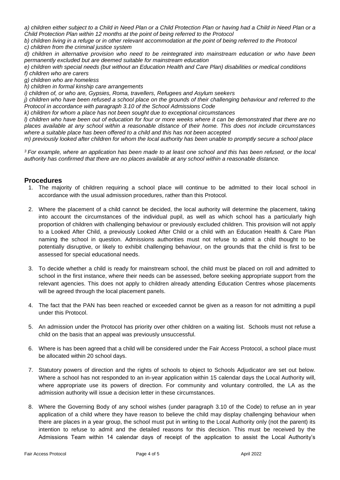*a) children either subject to a Child in Need Plan or a Child Protection Plan or having had a Child in Need Plan or a Child Protection Plan within 12 months at the point of being referred to the Protocol*

*b) children living in a refuge or in other relevant accommodation at the point of being referred to the Protocol c) children from the criminal justice system*

*d) children in alternative provision who need to be reintegrated into mainstream education or who have been permanently excluded but are deemed suitable for mainstream education*

*e) children with special needs (but without an Education Health and Care Plan) disabilities or medical conditions f) children who are carers*

*g) children who are homeless*

*h) children in formal kinship care arrangements*

*i) children of, or who are, Gypsies, Roma, travellers, Refugees and Asylum seekers*

*j) children who have been refused a school place on the grounds of their challenging behaviour and referred to the Protocol in accordance with paragraph 3.10 of the School Admissions Code*

*k) children for whom a place has not been sought due to exceptional circumstances*

*l) children who have been out of education for four or more weeks where it can be demonstrated that there are no places available at any school within a reasonable distance of their home. This does not include circumstances where a suitable place has been offered to a child and this has not been accepted*

*m) previously looked after children for whom the local authority has been unable to promptly secure a school place*

*<sup>3</sup>For example, where an application has been made to at least one school and this has been refused, or the local authority has confirmed that there are no places available at any school within a reasonable distance.*

### **Procedures**

- 1. The majority of children requiring a school place will continue to be admitted to their local school in accordance with the usual admission procedures, rather than this Protocol.
- 2. Where the placement of a child cannot be decided, the local authority will determine the placement, taking into account the circumstances of the individual pupil, as well as which school has a particularly high proportion of children with challenging behaviour or previously excluded children. This provision will not apply to a Looked After Child, a previously Looked After Child or a child with an Education Health & Care Plan naming the school in question. Admissions authorities must not refuse to admit a child thought to be potentially disruptive, or likely to exhibit challenging behaviour, on the grounds that the child is first to be assessed for special educational needs.
- 3. To decide whether a child is ready for mainstream school, the child must be placed on roll and admitted to school in the first instance, where their needs can be assessed, before seeking appropriate support from the relevant agencies. This does not apply to children already attending Education Centres whose placements will be agreed through the local placement panels.
- 4. The fact that the PAN has been reached or exceeded cannot be given as a reason for not admitting a pupil under this Protocol.
- 5. An admission under the Protocol has priority over other children on a waiting list. Schools must not refuse a child on the basis that an appeal was previously unsuccessful.
- 6. Where is has been agreed that a child will be considered under the Fair Access Protocol, a school place must be allocated within 20 school days.
- 7. Statutory powers of direction and the rights of schools to object to Schools Adjudicator are set out below. Where a school has not responded to an in-year application within 15 calendar days the Local Authority will, where appropriate use its powers of direction. For community and voluntary controlled, the LA as the admission authority will issue a decision letter in these circumstances.
- 8. Where the Governing Body of any school wishes (under paragraph 3.10 of the Code) to refuse an in year application of a child where they have reason to believe the child may display challenging behaviour when there are places in a year group, the school must put in writing to the Local Authority only (not the parent) its intention to refuse to admit and the detailed reasons for this decision. This must be received by the Admissions Team within 14 calendar days of receipt of the application to assist the Local Authority's